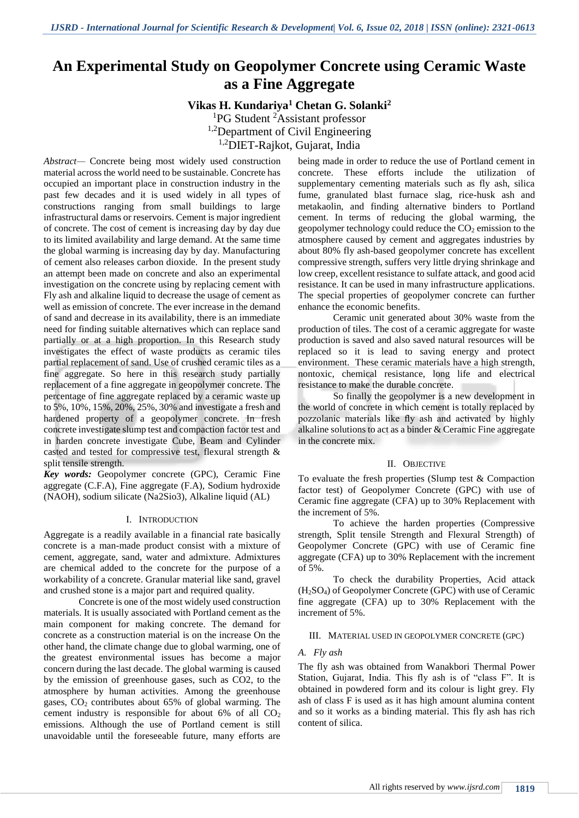# **An Experimental Study on Geopolymer Concrete using Ceramic Waste as a Fine Aggregate**

# **Vikas H. Kundariya<sup>1</sup> Chetan G. Solanki<sup>2</sup>**

<sup>1</sup>PG Student <sup>2</sup>Assistant professor <sup>1,2</sup>Department of Civil Engineering 1,2DIET-Rajkot, Gujarat, India

*Abstract—* Concrete being most widely used construction material across the world need to be sustainable. Concrete has occupied an important place in construction industry in the past few decades and it is used widely in all types of constructions ranging from small buildings to large infrastructural dams or reservoirs. Cement is major ingredient of concrete. The cost of cement is increasing day by day due to its limited availability and large demand. At the same time the global warming is increasing day by day. Manufacturing of cement also releases carbon dioxide. In the present study an attempt been made on concrete and also an experimental investigation on the concrete using by replacing cement with Fly ash and alkaline liquid to decrease the usage of cement as well as emission of concrete. The ever increase in the demand of sand and decrease in its availability, there is an immediate need for finding suitable alternatives which can replace sand partially or at a high proportion. In this Research study investigates the effect of waste products as ceramic tiles partial replacement of sand. Use of crushed ceramic tiles as a fine aggregate. So here in this research study partially replacement of a fine aggregate in geopolymer concrete. The percentage of fine aggregate replaced by a ceramic waste up to 5%, 10%, 15%, 20%, 25%, 30% and investigate a fresh and hardened property of a geopolymer concrete. In fresh concrete investigate slump test and compaction factor test and in harden concrete investigate Cube, Beam and Cylinder casted and tested for compressive test, flexural strength & split tensile strength.

*Key words:* Geopolymer concrete (GPC), Ceramic Fine aggregate (C.F.A), Fine aggregate (F.A), Sodium hydroxide (NAOH), sodium silicate (Na2Sio3), Alkaline liquid (AL)

# I. INTRODUCTION

Aggregate is a readily available in a financial rate basically concrete is a man-made product consist with a mixture of cement, aggregate, sand, water and admixture. Admixtures are chemical added to the concrete for the purpose of a workability of a concrete. Granular material like sand, gravel and crushed stone is a major part and required quality.

Concrete is one of the most widely used construction materials. It is usually associated with Portland cement as the main component for making concrete. The demand for concrete as a construction material is on the increase On the other hand, the climate change due to global warming, one of the greatest environmental issues has become a major concern during the last decade. The global warming is caused by the emission of greenhouse gases, such as CO2, to the atmosphere by human activities. Among the greenhouse gases,  $CO<sub>2</sub>$  contributes about 65% of global warming. The cement industry is responsible for about 6% of all  $CO<sub>2</sub>$ emissions. Although the use of Portland cement is still unavoidable until the foreseeable future, many efforts are

being made in order to reduce the use of Portland cement in concrete. These efforts include the utilization of supplementary cementing materials such as fly ash, silica fume, granulated blast furnace slag, rice-husk ash and metakaolin, and finding alternative binders to Portland cement. In terms of reducing the global warming, the geopolymer technology could reduce the  $CO<sub>2</sub>$  emission to the atmosphere caused by cement and aggregates industries by about 80% fly ash-based geopolymer concrete has excellent compressive strength, suffers very little drying shrinkage and low creep, excellent resistance to sulfate attack, and good acid resistance. It can be used in many infrastructure applications. The special properties of geopolymer concrete can further enhance the economic benefits.

Ceramic unit generated about 30% waste from the production of tiles. The cost of a ceramic aggregate for waste production is saved and also saved natural resources will be replaced so it is lead to saving energy and protect environment. These ceramic materials have a high strength, nontoxic, chemical resistance, long life and electrical resistance to make the durable concrete.

So finally the geopolymer is a new development in the world of concrete in which cement is totally replaced by pozzolanic materials like fly ash and activated by highly alkaline solutions to act as a binder & Ceramic Fine aggregate in the concrete mix.

# II. OBJECTIVE

To evaluate the fresh properties (Slump test & Compaction factor test) of Geopolymer Concrete (GPC) with use of Ceramic fine aggregate (CFA) up to 30% Replacement with the increment of 5%.

To achieve the harden properties (Compressive strength, Split tensile Strength and Flexural Strength) of Geopolymer Concrete (GPC) with use of Ceramic fine aggregate (CFA) up to 30% Replacement with the increment of 5%.

To check the durability Properties, Acid attack  $(H<sub>2</sub>SO<sub>4</sub>)$  of Geopolymer Concrete (GPC) with use of Ceramic fine aggregate (CFA) up to 30% Replacement with the increment of 5%.

# III. MATERIAL USED IN GEOPOLYMER CONCRETE (GPC)

# *A. Fly ash*

The fly ash was obtained from Wanakbori Thermal Power Station, Gujarat, India. This fly ash is of "class F". It is obtained in powdered form and its colour is light grey. Fly ash of class F is used as it has high amount alumina content and so it works as a binding material. This fly ash has rich content of silica.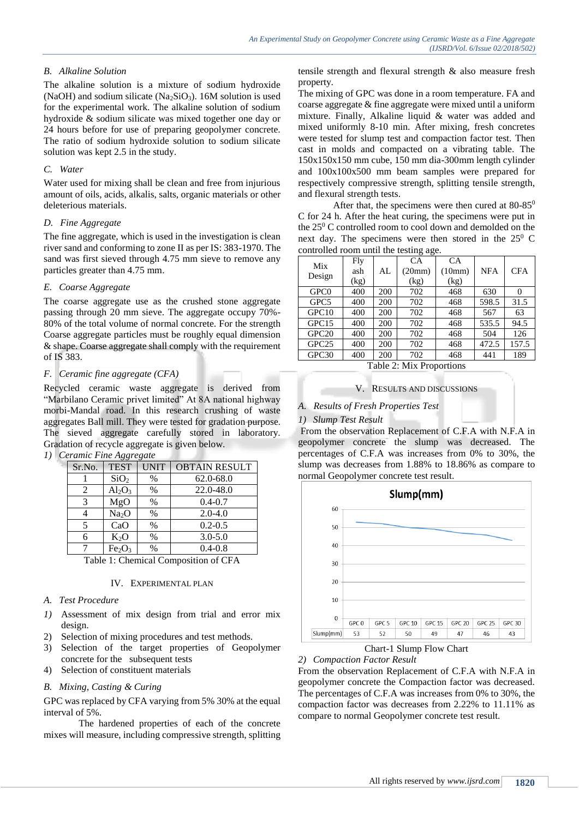# *B. Alkaline Solution*

The alkaline solution is a mixture of sodium hydroxide (NaOH) and sodium silicate (Na<sub>2</sub>SiO<sub>3</sub>). 16M solution is used for the experimental work. The alkaline solution of sodium hydroxide & sodium silicate was mixed together one day or 24 hours before for use of preparing geopolymer concrete. The ratio of sodium hydroxide solution to sodium silicate solution was kept 2.5 in the study.

# *C. Water*

Water used for mixing shall be clean and free from injurious amount of oils, acids, alkalis, salts, organic materials or other deleterious materials.

# *D. Fine Aggregate*

The fine aggregate, which is used in the investigation is clean river sand and conforming to zone II as per IS: 383-1970. The sand was first sieved through 4.75 mm sieve to remove any particles greater than 4.75 mm.

# *E. Coarse Aggregate*

The coarse aggregate use as the crushed stone aggregate passing through 20 mm sieve. The aggregate occupy 70%- 80% of the total volume of normal concrete. For the strength Coarse aggregate particles must be roughly equal dimension & shape. Coarse aggregate shall comply with the requirement of IS 383.

# *F. Ceramic fine aggregate (CFA)*

Recycled ceramic waste aggregate is derived from "Marbilano Ceramic privet limited" At 8A national highway morbi-Mandal road. In this research crushing of waste aggregates Ball mill. They were tested for gradation purpose. The sieved aggregate carefully stored in laboratory. Gradation of recycle aggregate is given below.

# *1) Ceramic Fine Aggregate*

| Sr.No.                   | <b>TEST</b>                    | <b>UNIT</b> | <b>OBTAIN RESULT</b>               |
|--------------------------|--------------------------------|-------------|------------------------------------|
|                          | SiO <sub>2</sub>               | $\%$        | 62.0-68.0                          |
| 2                        | $Al_2O_3$                      | %           | 22.0-48.0                          |
| 3                        | MgO                            | $\%$        | $0.4 - 0.7$                        |
|                          | Na <sub>2</sub> O              | $\%$        | $2.0 - 4.0$                        |
| 5                        | CaO                            | $\%$        | $0.2 - 0.5$                        |
| 6                        | $K_2O$                         | $\%$        | $3.0 - 5.0$                        |
|                          | Fe <sub>2</sub> O <sub>3</sub> | $\%$        | $0.4 - 0.8$                        |
| $\sim$<br>$\blacksquare$ | $\sim$                         | $\sim$      | $\sim$ $\sim$ $\sim$ $\sim$ $\sim$ |

Table 1: Chemical Composition of CFA

# IV. EXPERIMENTAL PLAN

# *A. Test Procedure*

- *1)* Assessment of mix design from trial and error mix design.
- 2) Selection of mixing procedures and test methods.
- 3) Selection of the target properties of Geopolymer concrete for the subsequent tests
- 4) Selection of constituent materials

# *B. Mixing, Casting & Curing*

GPC was replaced by CFA varying from 5% 30% at the equal interval of 5%.

The hardened properties of each of the concrete mixes will measure, including compressive strength, splitting tensile strength and flexural strength & also measure fresh property.

The mixing of GPC was done in a room temperature. FA and coarse aggregate & fine aggregate were mixed until a uniform mixture. Finally, Alkaline liquid & water was added and mixed uniformly 8-10 min. After mixing, fresh concretes were tested for slump test and compaction factor test. Then cast in molds and compacted on a vibrating table. The 150x150x150 mm cube, 150 mm dia-300mm length cylinder and 100x100x500 mm beam samples were prepared for respectively compressive strength, splitting tensile strength, and flexural strength tests.

After that, the specimens were then cured at  $80-85^\circ$ C for 24 h. After the heat curing, the specimens were put in the 25<sup>0</sup> C controlled room to cool down and demolded on the next day. The specimens were then stored in the  $25^{\circ}$  C controlled room until the testing age.

| Mix<br>Design     | Fly<br>ash<br>(kg) | AL  | <b>CA</b><br>(20mm)<br>(kg) | <b>CA</b><br>(10mm)<br>(kg) | <b>NFA</b> | <b>CFA</b> |
|-------------------|--------------------|-----|-----------------------------|-----------------------------|------------|------------|
| GPC <sub>0</sub>  | 400                | 200 | 702                         | 468                         | 630        | 0          |
| GPC5              | 400                | 200 | 702                         | 468                         | 598.5      | 31.5       |
| GPC10             | 400                | 200 | 702                         | 468                         | 567        | 63         |
| GPC15             | 400                | 200 | 702                         | 468                         | 535.5      | 94.5       |
| GPC <sub>20</sub> | 400                | 200 | 702                         | 468                         | 504        | 126        |
| GPC <sub>25</sub> | 400                | 200 | 702                         | 468                         | 472.5      | 157.5      |
| GPC30             | 400                | 200 | 702                         | 468                         | 441        | 189        |

Table 2: Mix Proportions

# V. RESULTS AND DISCUSSIONS

# *A. Results of Fresh Properties Test*

# *1) Slump Test Result*

From the observation Replacement of C.F.A with N.F.A in geopolymer concrete the slump was decreased. The percentages of C.F.A was increases from 0% to 30%, the slump was decreases from 1.88% to 18.86% as compare to normal Geopolymer concrete test result.



# Chart-1 Slump Flow Chart

# *2) Compaction Factor Result*

From the observation Replacement of C.F.A with N.F.A in geopolymer concrete the Compaction factor was decreased. The percentages of C.F.A was increases from 0% to 30%, the compaction factor was decreases from 2.22% to 11.11% as compare to normal Geopolymer concrete test result.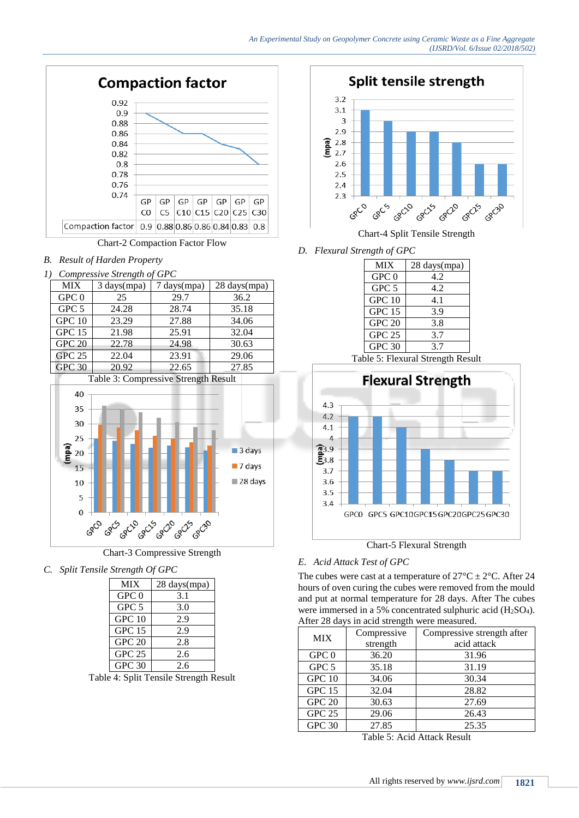

Chart-2 Compaction Factor Flow

*B. Result of Harden Property*

| 1) | Compressive Strength of GPC |                                |                          |                |  |  |
|----|-----------------------------|--------------------------------|--------------------------|----------------|--|--|
|    | <b>MIX</b>                  | 3 days(mpa)                    | 7 days(mpa)              | 28 days(mpa)   |  |  |
|    | GPC <sub>0</sub>            | 25                             | 29.7                     | 36.2           |  |  |
|    | GPC 5                       | 24.28                          | 28.74                    | 35.18          |  |  |
|    | <b>GPC 10</b>               | 23.29                          | 27.88                    | 34.06          |  |  |
|    | <b>GPC 15</b>               | 21.98                          | 25.91                    | 32.04          |  |  |
|    | <b>GPC 20</b>               | 22.78                          | 24.98                    | 30.63          |  |  |
|    | <b>GPC 25</b>               | 22.04                          | 23.91                    | 29.06          |  |  |
|    | <b>GPC 30</b>               | 20.92                          | 22.65                    | 27.85          |  |  |
|    |                             | <b>TR</b> 1 1<br>$\sim$ $\sim$ | $\sim$<br>$\mathbf{1}$ T | $\mathbf{1}$ . |  |  |



Chart-3 Compressive Strength

*C. Split Tensile Strength Of GPC*

| <b>MIX</b>       | 28 days(mpa) |
|------------------|--------------|
| GPC <sub>0</sub> | 3.1          |
| GPC 5            | 3.0          |
| GPC10            | 2.9          |
| <b>GPC 15</b>    | 2.9          |
| GPC 20           | 2.8          |
| <b>GPC 25</b>    | 2.6          |
| <b>GPC 30</b>    | 2.6          |

Table 4: Split Tensile Strength Result



Chart-4 Split Tensile Strength

*D. Flexural Strength of GPC*

| <b>MIX</b>                                      | 28 days(mpa) |  |  |
|-------------------------------------------------|--------------|--|--|
| GPC <sub>0</sub>                                | 4.2          |  |  |
| GPC 5                                           | 4.2          |  |  |
| GPC <sub>10</sub>                               | 4.1          |  |  |
| <b>GPC 15</b>                                   | 3.9          |  |  |
| <b>GPC 20</b>                                   | 3.8          |  |  |
| <b>GPC 25</b>                                   | 3.7          |  |  |
| GPC 30                                          | 3.7          |  |  |
| $\alpha$ kla 5. Elamual<br>$C_{t_{max}}$ at $D$ |              |  |  |

Table 5: Flexural Strength Result



Chart-5 Flexural Strength

# *E. Acid Attack Test of GPC*

The cubes were cast at a temperature of  $27^{\circ}C \pm 2^{\circ}C$ . After 24 hours of oven curing the cubes were removed from the mould and put at normal temperature for 28 days. After The cubes were immersed in a 5% concentrated sulphuric acid  $(H_2SO_4)$ . After 28 days in acid strength were measured.

|                  | Compressive | Compressive strength after |  |
|------------------|-------------|----------------------------|--|
| <b>MIX</b>       | strength    | acid attack                |  |
| GPC <sub>0</sub> | 36.20       | 31.96                      |  |
| GPC 5            | 35.18       | 31.19                      |  |
| <b>GPC 10</b>    | 34.06       | 30.34                      |  |
| <b>GPC 15</b>    | 32.04       | 28.82                      |  |
| <b>GPC 20</b>    | 30.63       | 27.69                      |  |
| <b>GPC 25</b>    | 29.06       | 26.43                      |  |
| <b>GPC 30</b>    | 27.85       | 25.35                      |  |

Table 5: Acid Attack Result